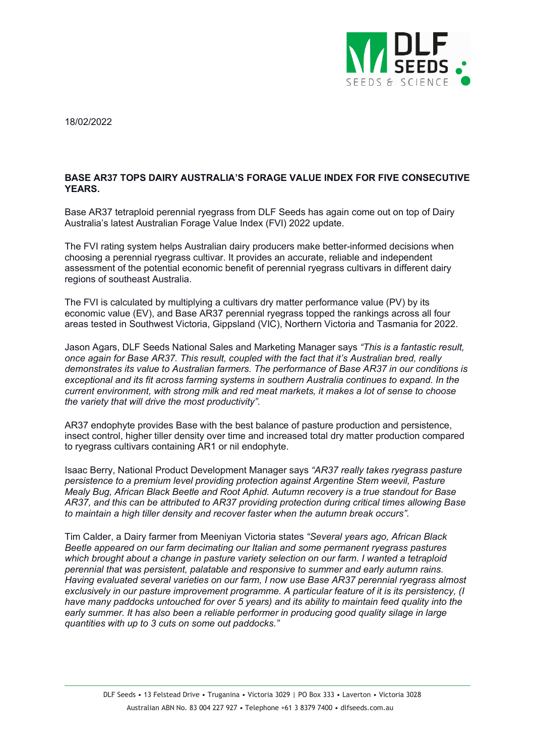

18/02/2022

## **BASE AR37 TOPS DAIRY AUSTRALIA'S FORAGE VALUE INDEX FOR FIVE CONSECUTIVE YEARS.**

Base AR37 tetraploid perennial ryegrass from DLF Seeds has again come out on top of Dairy Australia's latest Australian Forage Value Index (FVI) 2022 update.

The FVI rating system helps Australian dairy producers make better-informed decisions when choosing a perennial ryegrass cultivar. It provides an accurate, reliable and independent assessment of the potential economic benefit of perennial ryegrass cultivars in different dairy regions of southeast Australia.

The FVI is calculated by multiplying a cultivars dry matter performance value (PV) by its economic value (EV), and Base AR37 perennial ryegrass topped the rankings across all four areas tested in Southwest Victoria, Gippsland (VIC), Northern Victoria and Tasmania for 2022.

Jason Agars, DLF Seeds National Sales and Marketing Manager says *"This is a fantastic result, once again for Base AR37. This result, coupled with the fact that it's Australian bred, really demonstrates its value to Australian farmers. The performance of Base AR37 in our conditions is exceptional and its fit across farming systems in southern Australia continues to expand. In the current environment, with strong milk and red meat markets, it makes a lot of sense to choose the variety that will drive the most productivity".*

AR37 endophyte provides Base with the best balance of pasture production and persistence, insect control, higher tiller density over time and increased total dry matter production compared to ryegrass cultivars containing AR1 or nil endophyte.

Isaac Berry, National Product Development Manager says *"AR37 really takes ryegrass pasture persistence to a premium level providing protection against Argentine Stem weevil, Pasture Mealy Bug, African Black Beetle and Root Aphid. Autumn recovery is a true standout for Base AR37, and this can be attributed to AR37 providing protection during critical times allowing Base to maintain a high tiller density and recover faster when the autumn break occurs".*

Tim Calder, a Dairy farmer from Meeniyan Victoria states *"Several years ago, African Black Beetle appeared on our farm decimating our Italian and some permanent ryegrass pastures which brought about a change in pasture variety selection on our farm. I wanted a tetraploid perennial that was persistent, palatable and responsive to summer and early autumn rains. Having evaluated several varieties on our farm, I now use Base AR37 perennial ryegrass almost exclusively in our pasture improvement programme. A particular feature of it is its persistency, (I have many paddocks untouched for over 5 years) and its ability to maintain feed quality into the early summer. It has also been a reliable performer in producing good quality silage in large quantities with up to 3 cuts on some out paddocks."*